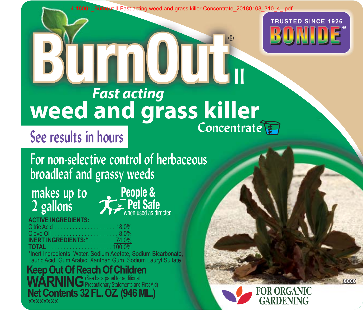4-18001\_Burnout II Fast acting weed and grass killer Concentrate\_20180108\_310\_4\_.pdf

®

**ll**



# Concentrate<sup>T</sup> **BurnOut Fast and grass killer**

# **See results in hours**

**For non-selective control of herbaceous broadleaf and grassy weeds**

# **makes up to 2 gallons**



**ACTIVE INGREDIENTS:**

Citric Acid . . . . . . . . . . . . . . . . . . . . 18.0% Clove Oil . . . . . . . . . . . . . . . . . . . . . 8.0% **INERT INGREDIENTS:\*** . . . . . . . . 74.0%

**TOTAL** . . . . . . . . . . . . . . . . . . . . . 100.0% \*Inert Ingredients: Water, Sodium Acetate, Sodium Bicarbonate, Lauric Acid, Gum Arabic, Xanthan Gum, Sodium Lauryl Sulfate Bicarbonat e , Sulf ate

**XXXXXXX Net Contents 32 FL. OZ. (946 ML.) Keep Out Of Reach Of Children** WARNING<sup>(See back panel for additional</sup>



**xxxx**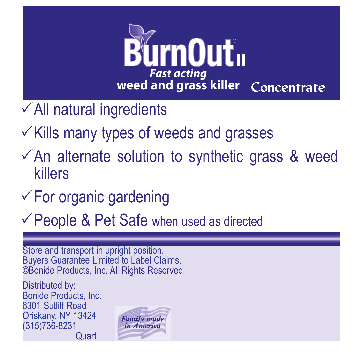

 $\checkmark$  All natural ingredients

- $\checkmark$  Kills many types of weeds and grasses
- $\sqrt{2}$ An alternate solution to synthetic grass & weed killers
- $\checkmark$  For organic gardening
- $\checkmark$  People & Pet Safe when used as directed

Store and transport in upright position. Buyers Guarantee Limited to Label Claims. ©Bonide Products, Inc. All Rights Reserved

Distributed by: Bonide Products, Inc. 6301 Sutliff Road Oriskany, NY 13424 (315)736-8231 Quart

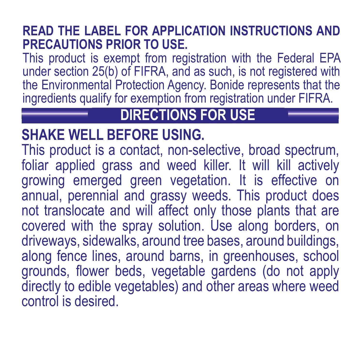#### **READ THE LABEL FOR APPLICATION INSTRUCTIONS AND PRECAUTIONS PRIOR TO USE.**

This product is exempt from registration with the Federal EPA under section 25(b) of FIFRA, and as such, is not registered with the Environmental Protection Agency. Bonide represents that the ingredients qualify for exemption from registration under FIFRA.

### **DIRECTIONS FOR USE**

#### **SHAKE WELL BEFORE USING.**

This product is a contact, non-selective, broad spectrum, foliar applied grass and weed killer. It will kill actively growing emerged green vegetation. It is effective on annual, perennial and grassy weeds. This product does not translocate and will affect only those plants that are covered with the spray solution. Use along borders, on driveways, sidewalks, around tree bases, around buildings, along fence lines, around barns, in greenhouses, school grounds, flower beds, vegetable gardens (do not apply directly to edible vegetables) and other areas where weed control is desired.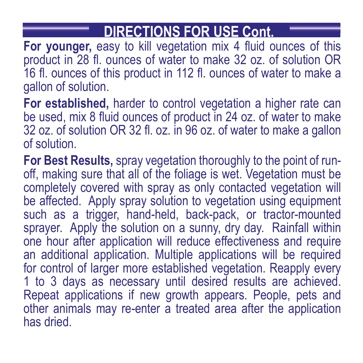## **DIRECTIONS FOR USE Cont.**

**For younger,** easy to kill vegetation mix 4 fluid ounces of this product in 28 fl. ounces of water to make 32 oz. of solution OR 16 fl. ounces of this product in 112 fl. ounces of water to make a gallon of solution.

**For established,** harder to control vegetation a higher rate can be used, mix 8 fluid ounces of product in 24 oz. of water to make 32 oz. of solution OR 32 fl. oz. in 96 oz. of water to make a gallon of solution.

**For Best Results,** spray vegetation thoroughly to the point of runoff, making sure that all of the foliage is wet. Vegetation must be completely covered with spray as only contacted vegetation will be affected. Apply spray solution to vegetation using equipment such as a trigger, hand-held, back-pack, or tractor-mounted sprayer. Apply the solution on a sunny, dry day. Rainfall within one hour after application will reduce effectiveness and require an additional application. Multiple applications will be required for control of larger more established vegetation. Reapply every 1 to 3 days as necessary until desired results are achieved. Repeat applications if new growth appears. People, pets and other animals may re-enter a treated area after the application has dried.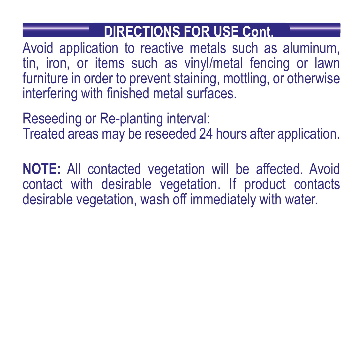#### **DIRECTIONS FOR USE Cont.**

Avoid application to reactive metals such as aluminum, tin, iron, or items such as vinyl/metal fencing or lawn furniture in order to prevent staining, mottling, or otherwise interfering with finished metal surfaces.

Reseeding or Re-planting interval: Treated areas may be reseeded 24 hours after application.

**NOTE:** All contacted vegetation will be affected. Avoid contact with desirable vegetation. If product contacts desirable vegetation, wash off immediately with water.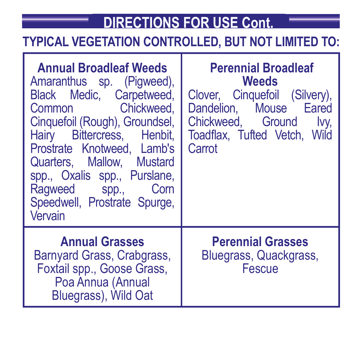## **DIRECTIONS FOR USE Cont.**

#### **TYPICAL VEGETATION CONTROLLED, BUT NOT LIMITED TO:**

| <b>Annual Broadleaf Weeds</b><br>Amaranthus sp. (Pigweed),<br>Black Medic, Carpetweed,<br>Common Chickweed.<br>Cinquefoil (Rough), Groundsel,<br>Hairy Bittercress, Henbit,<br>Prostrate Knotweed. Lamb's<br>Quarters, Mallow, Mustard<br>spp., Oxalis spp., Purslane,<br>Raqweed spp.,<br>Com<br>Speedwell, Prostrate Spurge,<br>Vervain | <b>Perennial Broadleaf</b><br><b>Weeds</b><br>Clover, Cinquefoil (Silvery),<br>Dandelion. Mouse Eared<br>Chickweed, Ground<br>Ivy.<br>Toadflax, Tufted Vetch, Wild<br>Carrot |
|-------------------------------------------------------------------------------------------------------------------------------------------------------------------------------------------------------------------------------------------------------------------------------------------------------------------------------------------|------------------------------------------------------------------------------------------------------------------------------------------------------------------------------|
| <b>Annual Grasses</b><br>Barnyard Grass, Crabgrass,<br>Foxtail spp., Goose Grass,<br>Poa Annua (Annual<br>Bluegrass), Wild Oat                                                                                                                                                                                                            | <b>Perennial Grasses</b><br>Bluegrass, Quackgrass,<br>Fescue                                                                                                                 |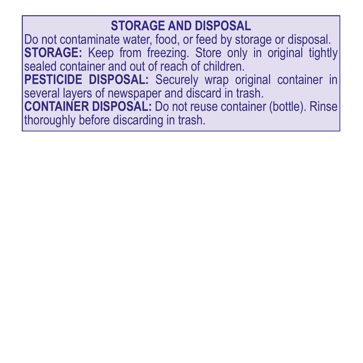#### **STORAGE AND DISPOSAL**

Do not contaminate water, food, or feed by storage or disposal. **STORAGE:** Keep from freezing. Store only in original tightly sealed container and out of reach of children. **PESTICIDE DISPOSAL:** Securely wrap original container in several layers of newspaper and discard in trash. **CONTAINER DISPOSAL:** Do not reuse container (bottle). Rinse thoroughly before discarding in trash.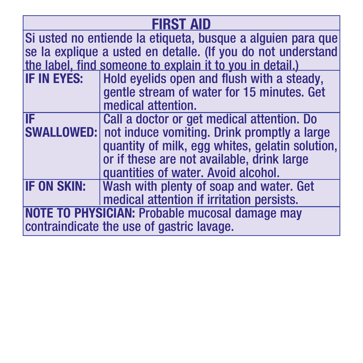| <b>FIRST AID</b>                                             |                                                               |
|--------------------------------------------------------------|---------------------------------------------------------------|
| Si usted no entiende la etiqueta, busque a alquien para que  |                                                               |
| se la explique a usted en detaile. (If you do not understand |                                                               |
| the label, find someone to explain it to you in detail.)     |                                                               |
| IF IN EYES:                                                  | Hold eyelids open and flush with a steady,                    |
|                                                              | gentle stream of water for 15 minutes. Get                    |
|                                                              | medical attention.                                            |
| IF                                                           | Call a doctor or get medical attention. Do                    |
|                                                              | <b>SWALLOWED:</b> not induce vomiting. Drink promptly a large |
|                                                              | quantity of milk, eqq whites, gelatin solution,               |
|                                                              | or if these are not available, drink large                    |
|                                                              | quantities of water. Avoid alcohol.                           |
| <b>IF ON SKIN:</b>                                           | Wash with plenty of soap and water. Get                       |
|                                                              | medical attention if irritation persists.                     |
| <b>NOTE TO PHYSICIAN: Probable mucosal damage may</b>        |                                                               |
| contraindicate the use of gastric lavage.                    |                                                               |